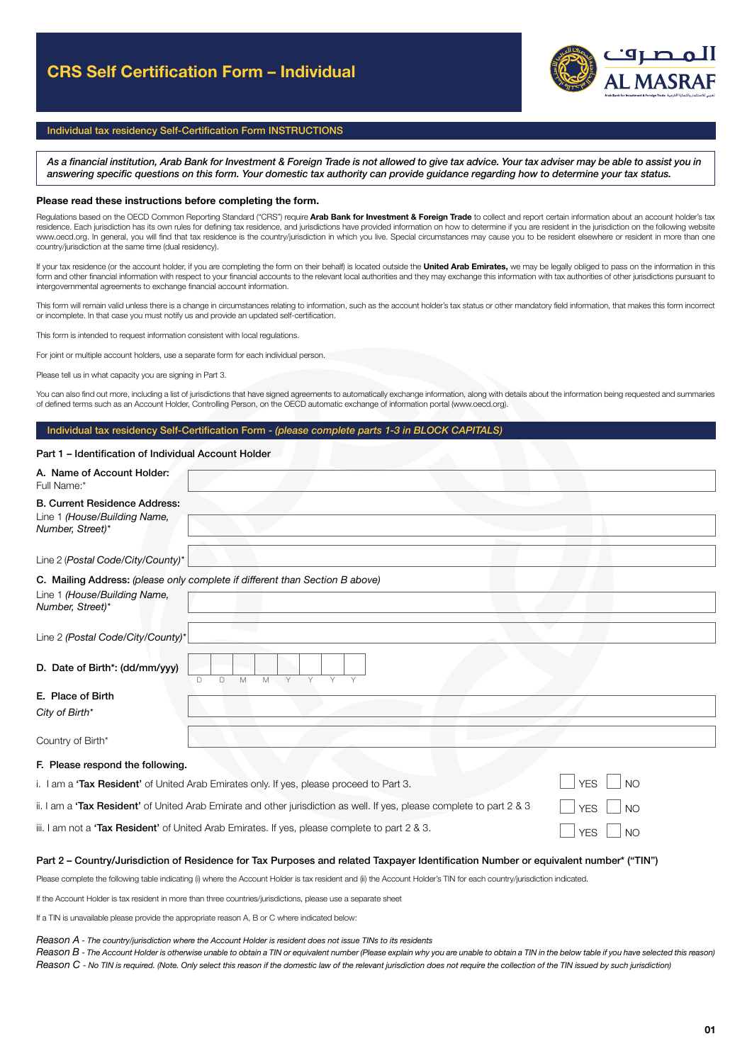

## Individual tax residency Self-Certification Form INSTRUCTIONS

*As a financial institution, Arab Bank for Investment & Foreign Trade is not allowed to give tax advice. Your tax adviser may be able to assist you in answering specific questions on this form. Your domestic tax authority can provide guidance regarding how to determine your tax status.* 

#### Please read these instructions before completing the form.

Regulations based on the OECD Common Reporting Standard ("CRS") require Arab Bank for Investment & Foreign Trade to collect and report certain information about an account holder's tax residence. Each jurisdiction has its own rules for defining tax residence, and jurisdictions have provided information on how to determine if you are resident in the jurisdiction on the following website www.oecd.org. In general, you will find that tax residence is the country/jurisdiction in which you live. Special circumstances may cause you to be resident elsewhere or resident in more than one country/jurisdiction at the same time (dual residency).

If your tax residence (or the account holder, if you are completing the form on their behalf) is located outside the United Arab Emirates, we may be legally obliged to pass on the information in this form and other financial information with respect to your financial accounts to the relevant local authorities and they may exchange this information with tax authorities of other jurisdictions pursuant to intergovernmental agreements to exchange financial account information.

This form will remain valid unless there is a change in circumstances relating to information, such as the account holder's tax status or other mandatory field information, that makes this form incorrect or incomplete. In that case you must notify us and provide an updated self-certification.

This form is intended to request information consistent with local regulations.

For joint or multiple account holders, use a separate form for each individual person.

Please tell us in what capacity you are signing in Part 3.

You can also find out more, including a list of jurisdictions that have signed agreements to automatically exchange information, along with details about the information being requested and summaries of defined terms such as an Account Holder, Controlling Person, on the OECD automatic exchange of information portal (www.oecd.org).

### Individual tax residency Self-Certification Form - *(please complete parts 1-3 in BLOCK CAPITALS)*

#### Part 1 – Identification of Individual Account Holder

| A. Name of Account Holder:<br>Full Name:*                                                                              |                              |
|------------------------------------------------------------------------------------------------------------------------|------------------------------|
| <b>B. Current Residence Address:</b>                                                                                   |                              |
| Line 1 (House/Building Name,<br>Number, Street)*                                                                       |                              |
|                                                                                                                        |                              |
| Line 2 (Postal Code/City/County)*                                                                                      |                              |
| C. Mailing Address: (please only complete if different than Section B above)                                           |                              |
| Line 1 (House/Building Name,<br>Number, Street)*                                                                       |                              |
|                                                                                                                        |                              |
| Line 2 (Postal Code/City/County)*                                                                                      |                              |
| D. Date of Birth*: (dd/mm/yyy)<br>D<br>M.<br>Y<br>Y<br>Y.<br>D.<br>M<br>$\vee$                                         |                              |
| E. Place of Birth                                                                                                      |                              |
| City of Birth*                                                                                                         |                              |
|                                                                                                                        |                              |
| Country of Birth*                                                                                                      |                              |
| F. Please respond the following.                                                                                       |                              |
|                                                                                                                        |                              |
| i. I am a 'Tax Resident' of United Arab Emirates only. If yes, please proceed to Part 3.                               | <b>YES</b><br>N <sub>O</sub> |
| ii. I am a 'Tax Resident' of United Arab Emirate and other jurisdiction as well. If yes, please complete to part 2 & 3 | <b>YES</b><br>N <sub>O</sub> |
| iii. I am not a 'Tax Resident' of United Arab Emirates. If yes, please complete to part 2 & 3.                         | <b>YES</b><br><b>NO</b>      |

#### Part 2 - Country/Jurisdiction of Residence for Tax Purposes and related Taxpayer Identification Number or equivalent number\* ("TIN")

Please complete the following table indicating (i) where the Account Holder is tax resident and (ii) the Account Holder's TIN for each country/jurisdiction indicated.

If the Account Holder is tax resident in more than three countries/jurisdictions, please use a separate sheet

If a TIN is unavailable please provide the appropriate reason A, B or C where indicated below:

#### *Reason A - The country/jurisdiction where the Account Holder is resident does not issue TINs to its residents*

*Reason B - The Account Holder is otherwise unable to obtain a TIN or equivalent number (Please explain why you are unable to obtain a TIN in the below table if you have selected this reason) Reason C - No TIN is required. (Note. Only select this reason if the domestic law of the relevant jurisdiction does not require the collection of the TIN issued by such jurisdiction)*